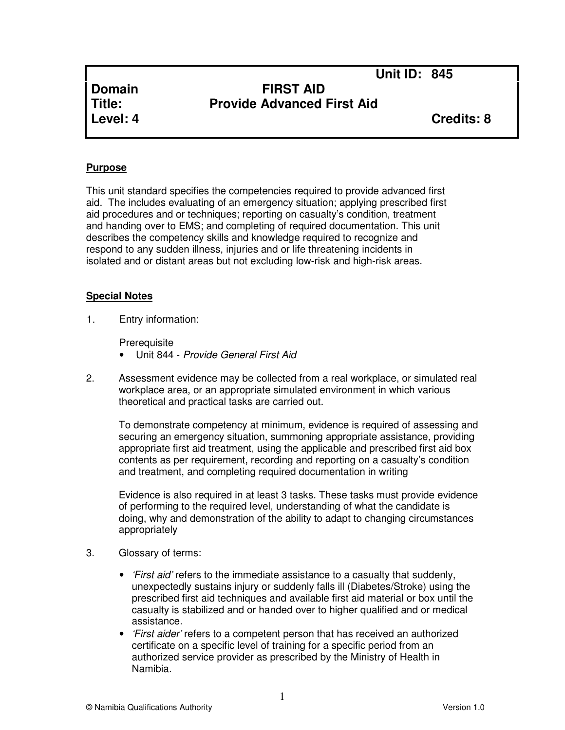**Unit ID: 845** 

# **Domain FIRST AID Title: Provide Advanced First Aid**

**Level: 4 Credits: 8**

### **Purpose**

This unit standard specifies the competencies required to provide advanced first aid. The includes evaluating of an emergency situation; applying prescribed first aid procedures and or techniques; reporting on casualty's condition, treatment and handing over to EMS; and completing of required documentation. This unit describes the competency skills and knowledge required to recognize and respond to any sudden illness, injuries and or life threatening incidents in isolated and or distant areas but not excluding low-risk and high-risk areas.

### **Special Notes**

1. Entry information:

**Prerequisite** 

- Unit 844 Provide General First Aid
- 2. Assessment evidence may be collected from a real workplace, or simulated real workplace area, or an appropriate simulated environment in which various theoretical and practical tasks are carried out.

To demonstrate competency at minimum, evidence is required of assessing and securing an emergency situation, summoning appropriate assistance, providing appropriate first aid treatment, using the applicable and prescribed first aid box contents as per requirement, recording and reporting on a casualty's condition and treatment, and completing required documentation in writing

Evidence is also required in at least 3 tasks. These tasks must provide evidence of performing to the required level, understanding of what the candidate is doing, why and demonstration of the ability to adapt to changing circumstances appropriately

- 3. Glossary of terms:
	- *First aid'* refers to the immediate assistance to a casualty that suddenly, unexpectedly sustains injury or suddenly falls ill (Diabetes/Stroke) using the prescribed first aid techniques and available first aid material or box until the casualty is stabilized and or handed over to higher qualified and or medical assistance.
	- *'First aider'* refers to a competent person that has received an authorized certificate on a specific level of training for a specific period from an authorized service provider as prescribed by the Ministry of Health in Namibia.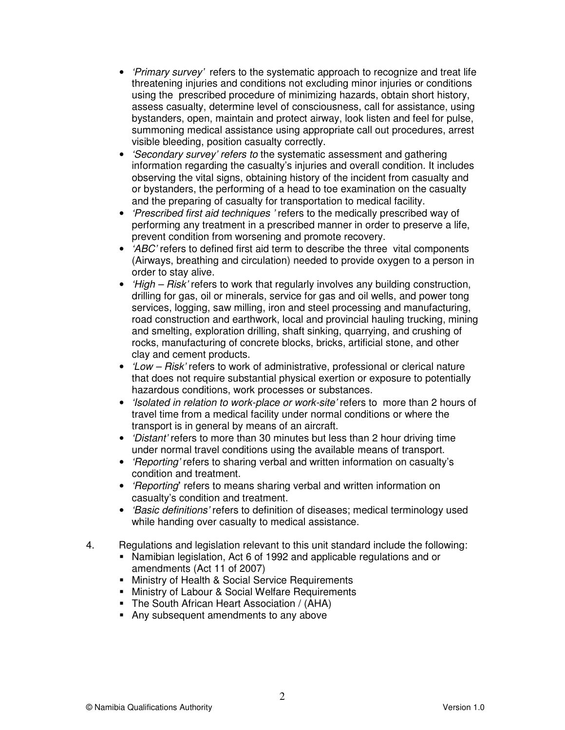- *'Primary survey'* refers to the systematic approach to recognize and treat life threatening injuries and conditions not excluding minor injuries or conditions using the prescribed procedure of minimizing hazards, obtain short history, assess casualty, determine level of consciousness, call for assistance, using bystanders, open, maintain and protect airway, look listen and feel for pulse, summoning medical assistance using appropriate call out procedures, arrest visible bleeding, position casualty correctly.
- 'Secondary survey' refers to the systematic assessment and gathering information regarding the casualty's injuries and overall condition. It includes observing the vital signs, obtaining history of the incident from casualty and or bystanders, the performing of a head to toe examination on the casualty and the preparing of casualty for transportation to medical facility.
- 'Prescribed first aid techniques ' refers to the medically prescribed way of performing any treatment in a prescribed manner in order to preserve a life, prevent condition from worsening and promote recovery.
- 'ABC' refers to defined first aid term to describe the three vital components (Airways, breathing and circulation) needed to provide oxygen to a person in order to stay alive.
- *'High Risk'* refers to work that regularly involves any building construction, drilling for gas, oil or minerals, service for gas and oil wells, and power tong services, logging, saw milling, iron and steel processing and manufacturing, road construction and earthwork, local and provincial hauling trucking, mining and smelting, exploration drilling, shaft sinking, quarrying, and crushing of rocks, manufacturing of concrete blocks, bricks, artificial stone, and other clay and cement products.
- *'Low Risk'* refers to work of administrative, professional or clerical nature that does not require substantial physical exertion or exposure to potentially hazardous conditions, work processes or substances.
- '*Isolated in relation to work-place or work-site'* refers to more than 2 hours of travel time from a medical facility under normal conditions or where the transport is in general by means of an aircraft.
- 'Distant' refers to more than 30 minutes but less than 2 hour driving time under normal travel conditions using the available means of transport.
- 'Reporting' refers to sharing verbal and written information on casualty's condition and treatment.
- 'Reporting**'** refers to means sharing verbal and written information on casualty's condition and treatment.
- *'Basic definitions'* refers to definition of diseases; medical terminology used while handing over casualty to medical assistance.
- 4. Regulations and legislation relevant to this unit standard include the following:
	- Namibian legislation, Act 6 of 1992 and applicable regulations and or amendments (Act 11 of 2007)
		- **Ninistry of Health & Social Service Requirements**
	- **Ministry of Labour & Social Welfare Requirements**
	- The South African Heart Association / (AHA)
	- Any subsequent amendments to any above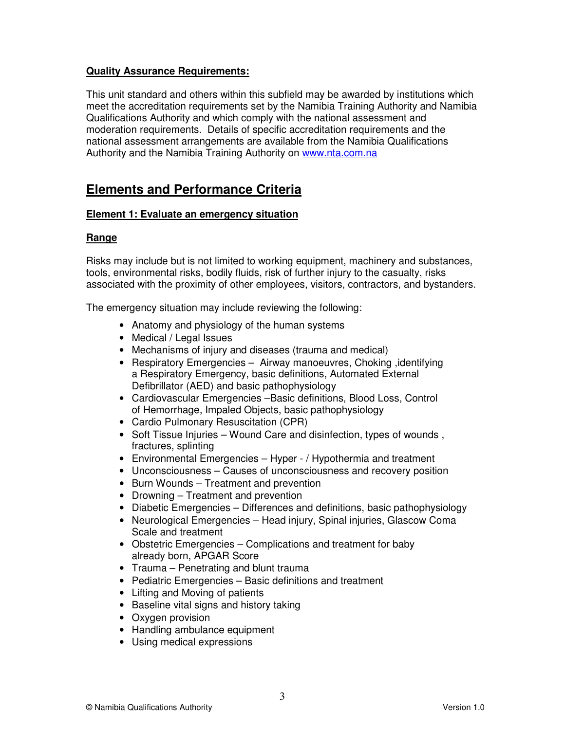## **Quality Assurance Requirements:**

This unit standard and others within this subfield may be awarded by institutions which meet the accreditation requirements set by the Namibia Training Authority and Namibia Qualifications Authority and which comply with the national assessment and moderation requirements. Details of specific accreditation requirements and the national assessment arrangements are available from the Namibia Qualifications Authority and the Namibia Training Authority on www.nta.com.na

# **Elements and Performance Criteria**

### **Element 1: Evaluate an emergency situation**

## **Range**

Risks may include but is not limited to working equipment, machinery and substances, tools, environmental risks, bodily fluids, risk of further injury to the casualty, risks associated with the proximity of other employees, visitors, contractors, and bystanders.

The emergency situation may include reviewing the following:

- Anatomy and physiology of the human systems
- Medical / Legal Issues
- Mechanisms of injury and diseases (trauma and medical)
- Respiratory Emergencies Airway manoeuvres, Choking, identifying a Respiratory Emergency, basic definitions, Automated External Defibrillator (AED) and basic pathophysiology
- Cardiovascular Emergencies –Basic definitions, Blood Loss, Control of Hemorrhage, Impaled Objects, basic pathophysiology
- Cardio Pulmonary Resuscitation (CPR)
- Soft Tissue Injuries Wound Care and disinfection, types of wounds , fractures, splinting
- Environmental Emergencies Hyper / Hypothermia and treatment
- Unconsciousness Causes of unconsciousness and recovery position
- Burn Wounds Treatment and prevention
- Drowning Treatment and prevention
- Diabetic Emergencies Differences and definitions, basic pathophysiology
- Neurological Emergencies Head injury, Spinal injuries, Glascow Coma Scale and treatment
- Obstetric Emergencies Complications and treatment for baby already born, APGAR Score
- Trauma Penetrating and blunt trauma
- Pediatric Emergencies Basic definitions and treatment
- Lifting and Moving of patients
- Baseline vital signs and history taking
- Oxygen provision
- Handling ambulance equipment
- Using medical expressions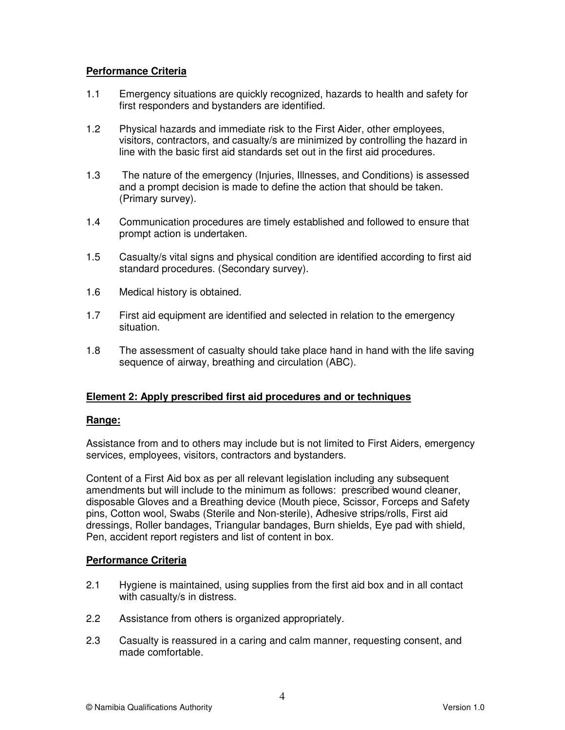## **Performance Criteria**

- 1.1 Emergency situations are quickly recognized, hazards to health and safety for first responders and bystanders are identified.
- 1.2 Physical hazards and immediate risk to the First Aider, other employees, visitors, contractors, and casualty/s are minimized by controlling the hazard in line with the basic first aid standards set out in the first aid procedures.
- 1.3 The nature of the emergency (Injuries, Illnesses, and Conditions) is assessed and a prompt decision is made to define the action that should be taken. (Primary survey).
- 1.4 Communication procedures are timely established and followed to ensure that prompt action is undertaken.
- 1.5 Casualty/s vital signs and physical condition are identified according to first aid standard procedures. (Secondary survey).
- 1.6 Medical history is obtained.
- 1.7 First aid equipment are identified and selected in relation to the emergency situation.
- 1.8 The assessment of casualty should take place hand in hand with the life saving sequence of airway, breathing and circulation (ABC).

### **Element 2: Apply prescribed first aid procedures and or techniques**

### **Range:**

Assistance from and to others may include but is not limited to First Aiders, emergency services, employees, visitors, contractors and bystanders.

Content of a First Aid box as per all relevant legislation including any subsequent amendments but will include to the minimum as follows: prescribed wound cleaner, disposable Gloves and a Breathing device (Mouth piece, Scissor, Forceps and Safety pins, Cotton wool, Swabs (Sterile and Non-sterile), Adhesive strips/rolls, First aid dressings, Roller bandages, Triangular bandages, Burn shields, Eye pad with shield, Pen, accident report registers and list of content in box.

### **Performance Criteria**

- 2.1 Hygiene is maintained, using supplies from the first aid box and in all contact with casualty/s in distress.
- 2.2 Assistance from others is organized appropriately.
- 2.3 Casualty is reassured in a caring and calm manner, requesting consent, and made comfortable.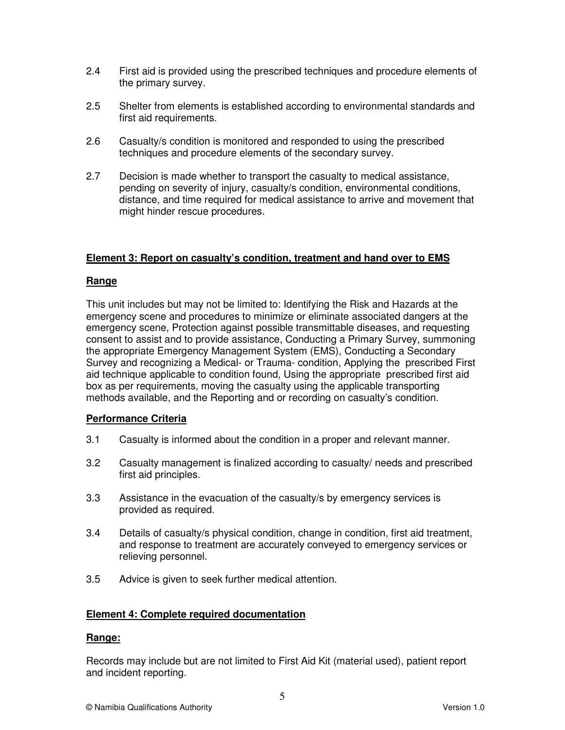- 2.4 First aid is provided using the prescribed techniques and procedure elements of the primary survey.
- 2.5 Shelter from elements is established according to environmental standards and first aid requirements.
- 2.6 Casualty/s condition is monitored and responded to using the prescribed techniques and procedure elements of the secondary survey.
- 2.7 Decision is made whether to transport the casualty to medical assistance, pending on severity of injury, casualty/s condition, environmental conditions, distance, and time required for medical assistance to arrive and movement that might hinder rescue procedures.

### **Element 3: Report on casualty's condition, treatment and hand over to EMS**

#### **Range**

This unit includes but may not be limited to: Identifying the Risk and Hazards at the emergency scene and procedures to minimize or eliminate associated dangers at the emergency scene, Protection against possible transmittable diseases, and requesting consent to assist and to provide assistance, Conducting a Primary Survey, summoning the appropriate Emergency Management System (EMS), Conducting a Secondary Survey and recognizing a Medical- or Trauma- condition, Applying the prescribed First aid technique applicable to condition found, Using the appropriate prescribed first aid box as per requirements, moving the casualty using the applicable transporting methods available, and the Reporting and or recording on casualty's condition.

#### **Performance Criteria**

- 3.1 Casualty is informed about the condition in a proper and relevant manner.
- 3.2 Casualty management is finalized according to casualty/ needs and prescribed first aid principles.
- 3.3 Assistance in the evacuation of the casualty/s by emergency services is provided as required.
- 3.4 Details of casualty/s physical condition, change in condition, first aid treatment, and response to treatment are accurately conveyed to emergency services or relieving personnel.
- 3.5 Advice is given to seek further medical attention.

#### **Element 4: Complete required documentation**

#### **Range:**

Records may include but are not limited to First Aid Kit (material used), patient report and incident reporting.